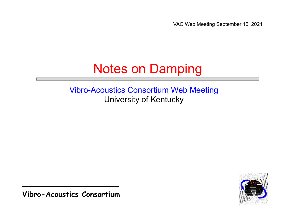VAC Web Meeting September 16, 2021

### Notes on Damping

#### Vibro-Acoustics Consortium Web Meeting University of Kentucky

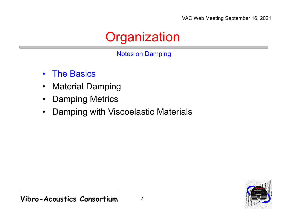### **Organization**

Notes on Damping

- $\bullet$ The Basics
- $\bullet$ Material Damping
- $\bullet$ Damping Metrics
- •Damping with Viscoelastic Materials

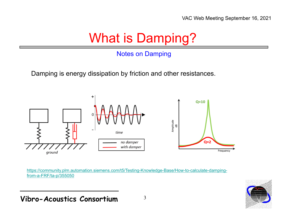### What is Damping?

#### Notes on Damping

Damping is energy dissipation by friction and other resistances.



https://community.plm.automation.siemens.com/t5/Testing-Knowledge-Base/How-to-calculate-dampingfrom-a-FRF/ta-p/355050



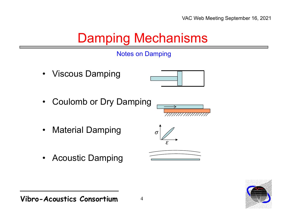### Damping Mechanisms



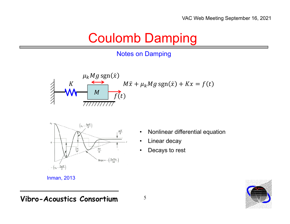#### Coulomb Damping

#### Notes on Damping





- •Nonlinear differential equation
- •Linear decay
- •Decays to rest



Inman, 2013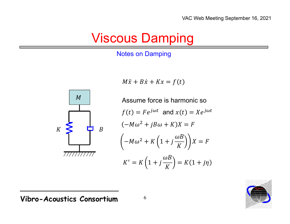### **Viscous Damping**

#### **Notes on Damping**



$$
M\ddot{x} + B\dot{x} + Kx = f(t)
$$

Assume force is harmonic so  
\n
$$
f(t) = Fe^{j\omega t} \text{ and } x(t) = Xe^{j\omega t}
$$
\n
$$
(-M\omega^2 + jB\omega + K)X = F
$$
\n
$$
\left(-M\omega^2 + K\left(1 + j\frac{\omega B}{K}\right)\right)X = F
$$
\n
$$
K' = K\left(1 + j\frac{\omega B}{K}\right) = K(1 + j\eta)
$$

Agoume force is bermanic co

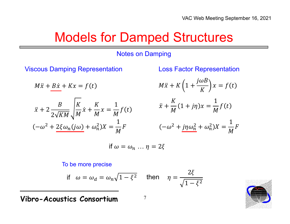#### Models for Damped Structures

#### Notes on Damping

Viscous Damping Representation Loss Factor Representation

$$
M\ddot{x} + B\dot{x} + Kx = f(t)
$$

$$
\ddot{x} + 2 \frac{B}{2\sqrt{KM}} \sqrt{\frac{K}{M}} \dot{x} + \frac{K}{M} x = \frac{1}{M} f(t)
$$

$$
(-\omega^2 + 2\xi \omega_n(j\omega) + \omega_n^2)X = \frac{1}{M} F
$$

$$
M\ddot{x} + K\left(1 + \frac{j\omega B}{K}\right)x = f(t)
$$

$$
\ddot{x} + \frac{K}{M}(1+j\eta)x = \frac{1}{M}f(t)
$$

$$
(-\omega^2 + j\eta\omega_n^2 + \omega_n^2)X = \frac{1}{M}F
$$

$$
\text{if } \omega = \omega_n \dots \eta = 2\xi
$$

#### To be more precise

if 
$$
\omega = \omega_d = \omega_n \sqrt{1 - \xi^2}
$$
 then  $\eta = \frac{2\xi}{\sqrt{1 - \xi^2}}$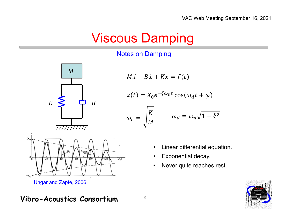### **Viscous Damping**

#### **Notes on Damping**



Ungar and Zapfe, 2006

$$
M\ddot{x} + B\dot{x} + Kx = f(t)
$$

$$
x(t) = X_0 e^{-\xi \omega_n t} \cos(\omega_d t + \varphi)
$$

$$
\omega_n = \sqrt{\frac{K}{M}} \qquad \omega_d = \omega_n \sqrt{1 - \xi^2}
$$

- Linear differential equation.
- Exponential decay.
- Never quite reaches rest.

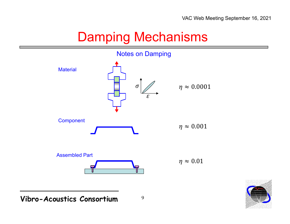### Damping Mechanisms

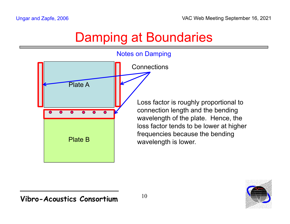### Damping at Boundaries



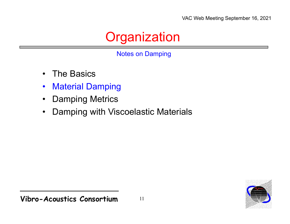### **Organization**

Notes on Damping

- $\bullet$ The Basics
- $\bullet$ Material Damping
- $\bullet$ Damping Metrics
- •Damping with Viscoelastic Materials

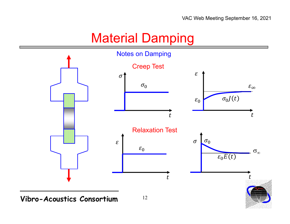### Material Damping

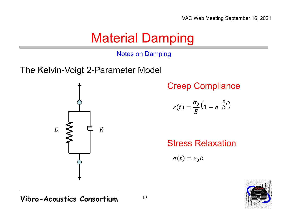### **Material Damping**

**Notes on Damping** 

The Kelvin-Voigt 2-Parameter Model



**Creep Compliance** 

$$
\varepsilon(t) = \frac{\sigma_0}{E} \left( 1 - e^{-\frac{E}{R}t} \right)
$$

**Stress Relaxation** 

 $\sigma(t) = \varepsilon_0 E$ 

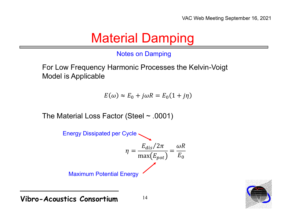### **Material Damping**

#### **Notes on Damping**

For Low Frequency Harmonic Processes the Kelvin-Voigt **Model is Applicable** 

 $E(\omega) \approx E_0 + j\omega R = E_0(1 + j\eta)$ 

The Material Loss Factor (Steel  $\sim$  .0001)



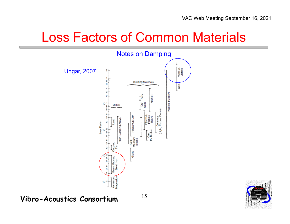#### Loss Factors of Common Materials



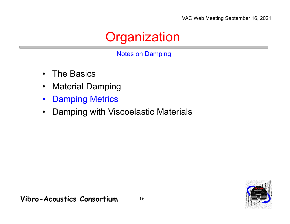### **Organization**

Notes on Damping

- $\bullet$ The Basics
- $\bullet$ Material Damping
- $\bullet$ Damping Metrics
- •Damping with Viscoelastic Materials

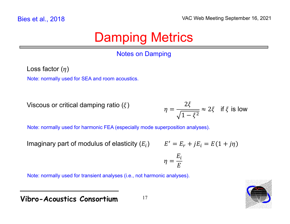#### **Notes on Damping**

Loss factor  $(\eta)$ 

Note: normally used for SEA and room acoustics.

Viscous or critical damping ratio  $(\xi)$ 

 $\eta = \frac{2\xi}{\sqrt{1-\xi^2}} \approx 2\xi$  if  $\xi$  is low

Note: normally used for harmonic FEA (especially mode superposition analyses).

Imaginary part of modulus of elasticity  $(E_i)$ 

$$
E' = E_r + jE_i = E(1 + j\eta)
$$

$$
\eta = \frac{E_i}{E}
$$

Note: normally used for transient analyses (i.e., not harmonic analyses).



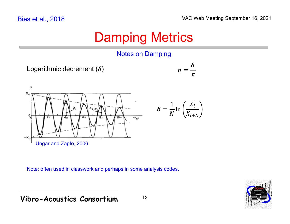#### Notes on Damping

```
Logarithmic decrement (\delta)
```


 $X_{\boldsymbol{i}}$ 

 $X_{i+N}$ 

1

 $\overline{N}^{\ln}$ 



Note: often used in classwork and perhaps in some analysis codes.

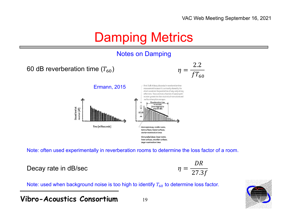#### Notes on Damping







Note: often used experimentally in reverberation rooms to determine the loss factor of a room.

Decay rate in dB/sec

$$
\eta = \frac{DR}{27.3f}
$$

Note: used when background noise is too high to identify  $T_{\rm 60}$  to determine loss factor.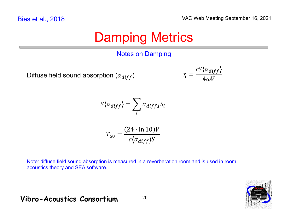#### Notes on Damping

Diffuse field sound absorption  $(\alpha_{diff})$ 

$$
\eta = \frac{cS\langle\alpha_{diff}\rangle}{4\omega V}
$$

$$
S\langle \alpha_{diff} \rangle = \sum_{i} \alpha_{diff,i} S_i
$$

$$
T_{60} = \frac{(24 \cdot \ln 10)V}{c\langle \alpha_{diff} \rangle S}
$$

Note: diffuse field sound absorption is measured in a reverberation room and is used in room acoustics theory and SEA software.

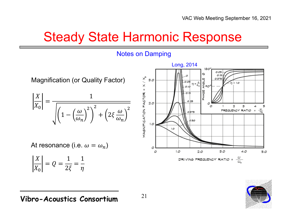#### **Steady State Harmonic Response**



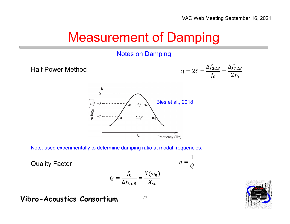### **Measurement of Damping**

#### **Notes on Damping**

**Half Power Method** 





Note: used experimentally to determine damping ratio at modal frequencies.

**Quality Factor** 

$$
Q = \frac{f_0}{\Delta f_{3 \text{ dB}}} = \frac{X(\omega_n)}{X_{st}}
$$

22

$$
\eta = \frac{1}{Q}
$$

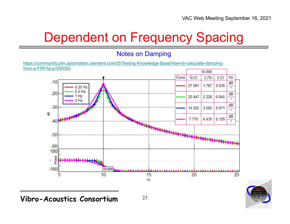## Dependent on Frequency Spacing

#### Notes on Damping

https://community.plm.automation.siemens.com/t5/Testing-Knowledge-Base/How-to-calculate-dampingfrom-a-FRF/ta-p/355050



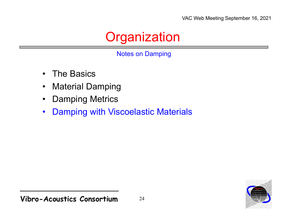### **Organization**

#### Notes on Damping

- $\bullet$ The Basics
- $\bullet$ Material Damping
- $\bullet$ Damping Metrics
- $\bullet$ Damping with Viscoelastic Materials

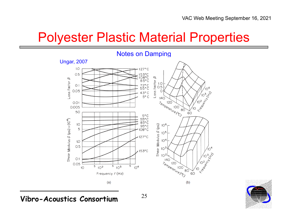#### Polyester Plastic Material Properties





**Vibro-Acoustics Consortium**

25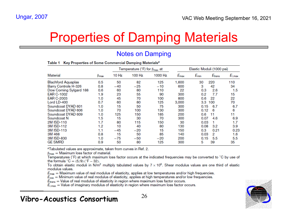### Properties of Damping Materials

#### Notes on Damping

|                           |                        | Temperature ( ${}^{\circ}$ F) for $\beta_{\text{max}}$ at |        |         | Elastic Moduli (1000 psi) |                          |                    |
|---------------------------|------------------------|-----------------------------------------------------------|--------|---------|---------------------------|--------------------------|--------------------|
| <b>Material</b>           | $\beta$ <sub>max</sub> | 10 Hz                                                     | 100 Hz | 1000 Hz | $E_{\text{max}}$          | $E_{min}$<br>$E_{trans}$ | $E_{i,\text{max}}$ |
| <b>Blachford Aquaplas</b> | 0.5                    | 50                                                        | 82     | 125     | 1.600                     | 30<br>220                | 110                |
| Barry Controls H-326      | 0.8                    | $-40$                                                     | -25    | $-10$   | 600                       | 3<br>42                  | 34                 |
| Dow Corning Sylgard 188   | 0.6                    | 60                                                        | 80     | 110     | 22                        | 2.6<br>0.3               | 1.5                |
| <b>EAR C-1002</b>         | 1.9                    | 23                                                        | 55     | 90      | 300                       | 7.7<br>0.2               | 15                 |
| <b>EAR C-2003</b>         | 1.0                    | 45                                                        | 70     | 100     | 800                       | 0.6<br>22                | 22                 |
| Lord LD-400               | 0.7                    | 60                                                        | 80     | 125     | 3,000                     | 3.3<br>100               | 70                 |
| Soundcoat DYAD 601        | 1.0                    | 15                                                        | 50     | 75      | 300                       | 0.15<br>6.7              | 6.7                |
| Soundcoat DYAD 606        | 1.0                    | 70                                                        | 100    | 130     | 300                       | 0.12<br>6                | 6                  |
| Soundcoat DYAD 609        | 1.0                    | 125                                                       | 150    | 185     | 200                       | 0.6<br>11                | 11                 |
| Soundcoat N               | 1.5                    | 15                                                        | 30     | 70      | 300                       | 0.07<br>4.6              | 6.9                |
| 2M ISD-110                | 1.7                    | 80                                                        | 115    | 150     | 30                        | 0.03                     | 1.7                |
| 3M ISD-112                | 1.2                    | 10                                                        | 40     | 80      | 130                       | 0.08<br>3.2              | 3.9                |
| 3M ISD-113                | 1.1                    | $-45$                                                     | $-20$  | 15      | 150                       | 0.3<br>0.21              | 0.23               |
| 3M 468                    | 0.8                    | 15                                                        | 50     | 85      | 140                       | 2<br>0.03                | 1.6                |
| 3M ISD-830                | 1.0                    | $-75$                                                     | $-50$  | $-20$   | 200                       | 0.15<br>5.5              | 5.5                |
| <b>GE SMRD</b>            | 0.9                    | 50                                                        | 80     | 125     | 300                       | 5<br>39                  | 35                 |

#### Table 1 Key Properties of Some Commercial Damping Materials<sup>a</sup>

<sup>a</sup>Tabulated values are approximate, taken from curves in Ref. 2.

 $\beta_{\text{max}}$  = Maximum loss factor of material.

Temperatures (°F) at which maximum loss factor occurs at the indicated frequencies may be converted to °C by use of the formula  ${}^{\circ}C = (5/9) ({}^{\circ}F - 32)$ .

To obtain elastic moduli in N/m<sup>2</sup> multiply tabulated values by  $7 \times 10^6$ . Shear modulus values are one third of elastic modulus values.

 $E_{\text{max}}$  = Maximum value of real modulus of elasticity, applies at low temperatures and/or high frequencies.

 $E_{\text{min}}$  = Minimum value of real modulus of elasticity, applies at high temperatures and/or low frequencies.

 $E_{trans}$  = Value of real modulus of elasticity in region where maximum loss factor occurs.

 $E_{i \text{max}}$  = Value of imaginary modulus of elasticity in region where maximum loss factor occurs.

#### **Vibro-Acoustics Consortium**

26

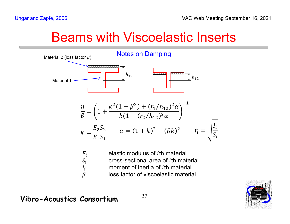#### **Beams with Viscoelastic Inserts**



loss factor of viscoelastic material

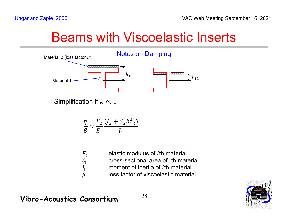#### Beams with Viscoelastic Inserts



Simplification if  $k \ll 1$ 

$$
\frac{\eta}{\beta} \approx \frac{E_2}{E_1} \frac{(I_2 + S_2 h_{12}^2)}{I_1}
$$

| elastic modulus of <i>i</i> th material      |
|----------------------------------------------|
| cross-sectional area of <i>i</i> th material |
| moment of inertia of <i>i</i> th material    |
| loss factor of viscoelastic material         |
|                                              |

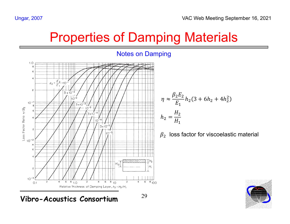# **Properties of Damping Materials**



$$
\eta \approx \frac{\beta_2 E_2}{E_1} h_2 (3 + 6h_2 + 4h_2^2)
$$
  

$$
h_2 = \frac{H_2}{H_1}
$$

 $\beta_2$  loss factor for viscoelastic material



**Ungar, 2007**